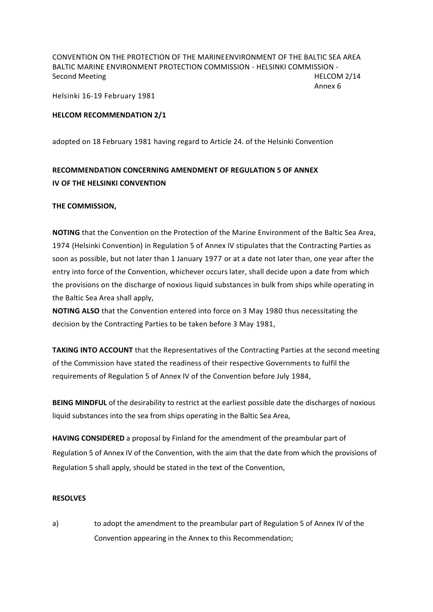CONVENTION ON THE PROTECTION OF THE MARINEENVIRONMENT OF THE BALTIC SEA AREA BALTIC MARINE ENVIRONMENT PROTECTION COMMISSION - HELSINKI COMMISSION - Second Meeting HELCOM 2/14

Annex 6

Helsinki 16-19 February 1981

## **HELCOM RECOMMENDATION 2/1**

adopted on 18 February 1981 having regard to Article 24. of the Helsinki Convention

## **RECOMMENDATION CONCERNING AMENDMENT OF REGULATION 5 OF ANNEX IV OF THE HELSINKI CONVENTION**

## **THE COMMISSION,**

**NOTING** that the Convention on the Protection of the Marine Environment of the Baltic Sea Area, 1974 (Helsinki Convention) in Regulation 5 of Annex IV stipulates that the Contracting Parties as soon as possible, but not later than 1 January 1977 or at a date not later than, one year after the entry into force of the Convention, whichever occurs later, shall decide upon a date from which the provisions on the discharge of noxious liquid substances in bulk from ships while operating in the Baltic Sea Area shall apply,

**NOTING ALSO** that the Convention entered into force on 3 May 1980 thus necessitating the decision by the Contracting Parties to be taken before 3 May 1981,

**TAKING INTO ACCOUNT** that the Representatives of the Contracting Parties at the second meeting of the Commission have stated the readiness of their respective Governments to fulfil the requirements of Regulation 5 of Annex IV of the Convention before July 1984,

**BEING MINDFUL** of the desirability to restrict at the earliest possible date the discharges of noxious liquid substances into the sea from ships operating in the Baltic Sea Area,

**HAVING CONSIDERED** a proposal by Finland for the amendment of the preambular part of Regulation 5 of Annex IV of the Convention, with the aim that the date from which the provisions of Regulation 5 shall apply, should be stated in the text of the Convention,

## **RESOLVES**

a) to adopt the amendment to the preambular part of Regulation 5 of Annex IV of the Convention appearing in the Annex to this Recommendation;